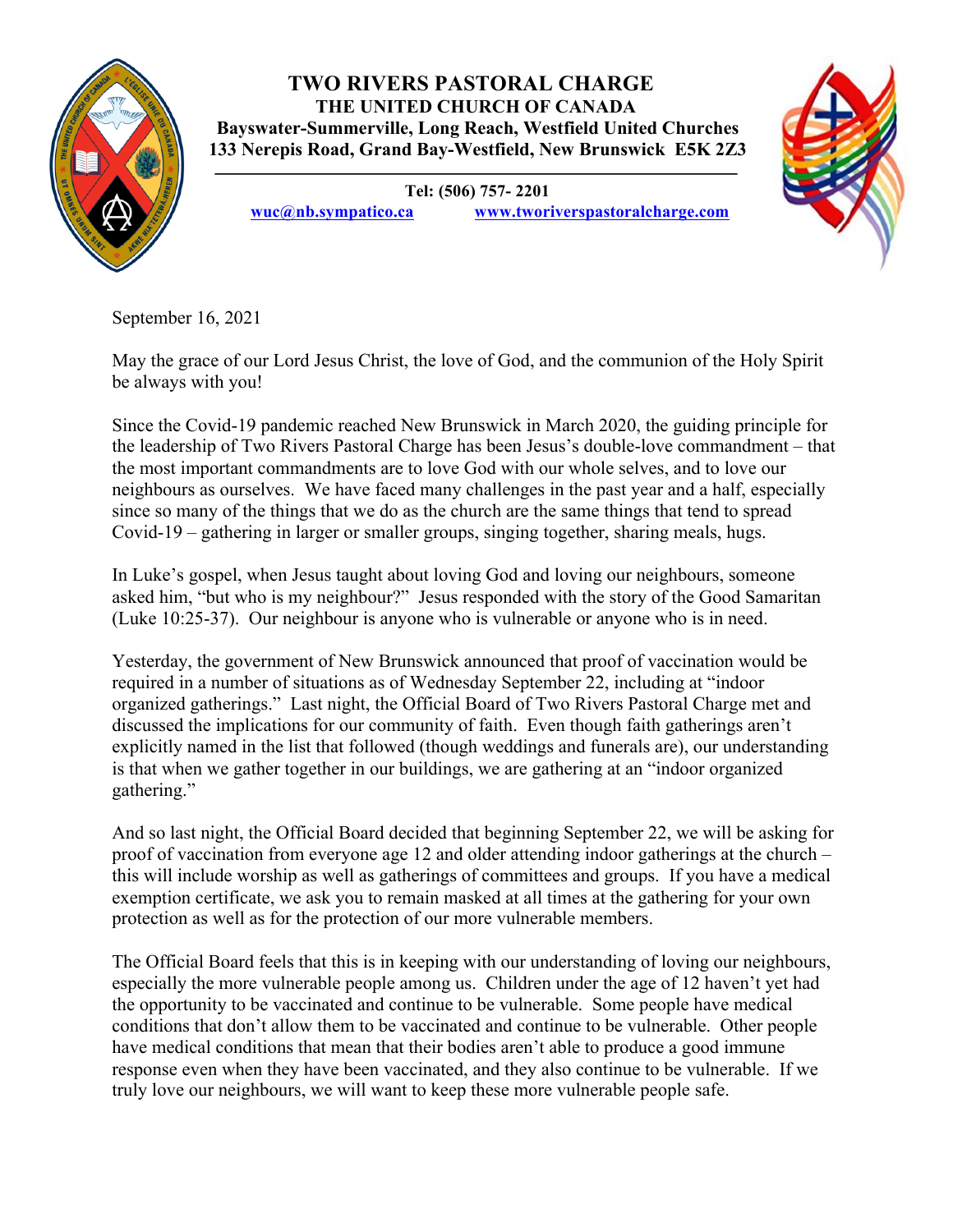

## **TWO RIVERS PASTORAL CHARGE THE UNITED CHURCH OF CANADA Bayswater-Summerville, Long Reach, Westfield United Churches 133 Nerepis Road, Grand Bay-Westfield, New Brunswick E5K 2Z3**

**Tel: (506) 757- 2201**

**wuc@nb.sympatico.ca www.tworiverspastoralcharge.com**



September 16, 2021

May the grace of our Lord Jesus Christ, the love of God, and the communion of the Holy Spirit be always with you!

Since the Covid-19 pandemic reached New Brunswick in March 2020, the guiding principle for the leadership of Two Rivers Pastoral Charge has been Jesus's double-love commandment – that the most important commandments are to love God with our whole selves, and to love our neighbours as ourselves. We have faced many challenges in the past year and a half, especially since so many of the things that we do as the church are the same things that tend to spread Covid-19 – gathering in larger or smaller groups, singing together, sharing meals, hugs.

In Luke's gospel, when Jesus taught about loving God and loving our neighbours, someone asked him, "but who is my neighbour?" Jesus responded with the story of the Good Samaritan (Luke 10:25-37). Our neighbour is anyone who is vulnerable or anyone who is in need.

Yesterday, the government of New Brunswick announced that proof of vaccination would be required in a number of situations as of Wednesday September 22, including at "indoor organized gatherings." Last night, the Official Board of Two Rivers Pastoral Charge met and discussed the implications for our community of faith. Even though faith gatherings aren't explicitly named in the list that followed (though weddings and funerals are), our understanding is that when we gather together in our buildings, we are gathering at an "indoor organized gathering."

And so last night, the Official Board decided that beginning September 22, we will be asking for proof of vaccination from everyone age 12 and older attending indoor gatherings at the church – this will include worship as well as gatherings of committees and groups. If you have a medical exemption certificate, we ask you to remain masked at all times at the gathering for your own protection as well as for the protection of our more vulnerable members.

The Official Board feels that this is in keeping with our understanding of loving our neighbours, especially the more vulnerable people among us. Children under the age of 12 haven't yet had the opportunity to be vaccinated and continue to be vulnerable. Some people have medical conditions that don't allow them to be vaccinated and continue to be vulnerable. Other people have medical conditions that mean that their bodies aren't able to produce a good immune response even when they have been vaccinated, and they also continue to be vulnerable. If we truly love our neighbours, we will want to keep these more vulnerable people safe.